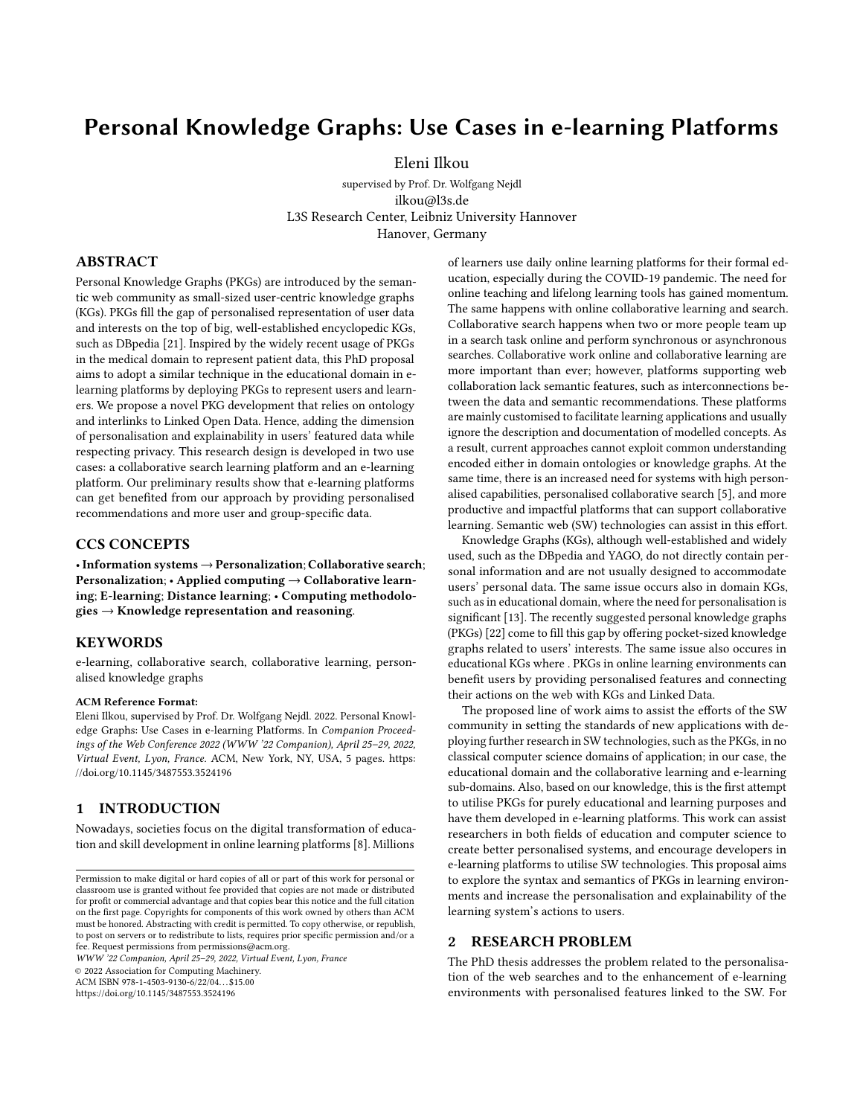# Personal Knowledge Graphs: Use Cases in e-learning Platforms

[Eleni Ilkou](https://orcid.org/0000-0002-4847-6177)

[supervised by Prof. Dr. Wolfgang Nejdl](https://orcid.org/0000-0002-4847-6177) ilkou@l3s.de L3S Research Center, Leibniz University Hannover Hanover, Germany

#### ABSTRACT

Personal Knowledge Graphs (PKGs) are introduced by the semantic web community as small-sized user-centric knowledge graphs (KGs). PKGs fill the gap of personalised representation of user data and interests on the top of big, well-established encyclopedic KGs, such as DBpedia [\[21\]](#page-4-0). Inspired by the widely recent usage of PKGs in the medical domain to represent patient data, this PhD proposal aims to adopt a similar technique in the educational domain in elearning platforms by deploying PKGs to represent users and learners. We propose a novel PKG development that relies on ontology and interlinks to Linked Open Data. Hence, adding the dimension of personalisation and explainability in users' featured data while respecting privacy. This research design is developed in two use cases: a collaborative search learning platform and an e-learning platform. Our preliminary results show that e-learning platforms can get benefited from our approach by providing personalised recommendations and more user and group-specific data.

## CCS CONCEPTS

•Information systems→Personalization; Collaborative search; Personalization;  $\cdot$  Applied computing  $\rightarrow$  Collaborative learning; E-learning; Distance learning; • Computing methodolo $gies \rightarrow$  Knowledge representation and reasoning.

#### KEYWORDS

e-learning, collaborative search, collaborative learning, personalised knowledge graphs

#### ACM Reference Format:

Eleni Ilkou, supervised by Prof. Dr. Wolfgang Nejdl. 2022. Personal Knowledge Graphs: Use Cases in e-learning Platforms. In Companion Proceedings of the Web Conference 2022 (WWW '22 Companion), April 25–29, 2022, Virtual Event, Lyon, France. ACM, New York, NY, USA, [5](#page-4-1) pages. [https:](https://doi.org/10.1145/3487553.3524196) [//doi.org/10.1145/3487553.3524196](https://doi.org/10.1145/3487553.3524196)

## 1 INTRODUCTION

Nowadays, societies focus on the digital transformation of education and skill development in online learning platforms [\[8\]](#page-4-2). Millions

WWW '22 Companion, April 25–29, 2022, Virtual Event, Lyon, France

© 2022 Association for Computing Machinery.

ACM ISBN 978-1-4503-9130-6/22/04. . . \$15.00

<https://doi.org/10.1145/3487553.3524196>

of learners use daily online learning platforms for their formal education, especially during the COVID-19 pandemic. The need for online teaching and lifelong learning tools has gained momentum. The same happens with online collaborative learning and search. Collaborative search happens when two or more people team up in a search task online and perform synchronous or asynchronous searches. Collaborative work online and collaborative learning are more important than ever; however, platforms supporting web collaboration lack semantic features, such as interconnections between the data and semantic recommendations. These platforms are mainly customised to facilitate learning applications and usually ignore the description and documentation of modelled concepts. As a result, current approaches cannot exploit common understanding encoded either in domain ontologies or knowledge graphs. At the same time, there is an increased need for systems with high personalised capabilities, personalised collaborative search [\[5\]](#page-4-3), and more productive and impactful platforms that can support collaborative learning. Semantic web (SW) technologies can assist in this effort.

Knowledge Graphs (KGs), although well-established and widely used, such as the DBpedia and YAGO, do not directly contain personal information and are not usually designed to accommodate users' personal data. The same issue occurs also in domain KGs, such as in educational domain, where the need for personalisation is significant [\[13\]](#page-4-4). The recently suggested personal knowledge graphs (PKGs) [\[22\]](#page-4-5) come to fill this gap by offering pocket-sized knowledge graphs related to users' interests. The same issue also occures in educational KGs where . PKGs in online learning environments can benefit users by providing personalised features and connecting their actions on the web with KGs and Linked Data.

The proposed line of work aims to assist the efforts of the SW community in setting the standards of new applications with deploying further research in SW technologies, such as the PKGs, in no classical computer science domains of application; in our case, the educational domain and the collaborative learning and e-learning sub-domains. Also, based on our knowledge, this is the first attempt to utilise PKGs for purely educational and learning purposes and have them developed in e-learning platforms. This work can assist researchers in both fields of education and computer science to create better personalised systems, and encourage developers in e-learning platforms to utilise SW technologies. This proposal aims to explore the syntax and semantics of PKGs in learning environments and increase the personalisation and explainability of the learning system's actions to users.

## 2 RESEARCH PROBLEM

The PhD thesis addresses the problem related to the personalisation of the web searches and to the enhancement of e-learning environments with personalised features linked to the SW. For

Permission to make digital or hard copies of all or part of this work for personal or classroom use is granted without fee provided that copies are not made or distributed for profit or commercial advantage and that copies bear this notice and the full citation on the first page. Copyrights for components of this work owned by others than ACM must be honored. Abstracting with credit is permitted. To copy otherwise, or republish, to post on servers or to redistribute to lists, requires prior specific permission and/or a fee. Request permissions from permissions@acm.org.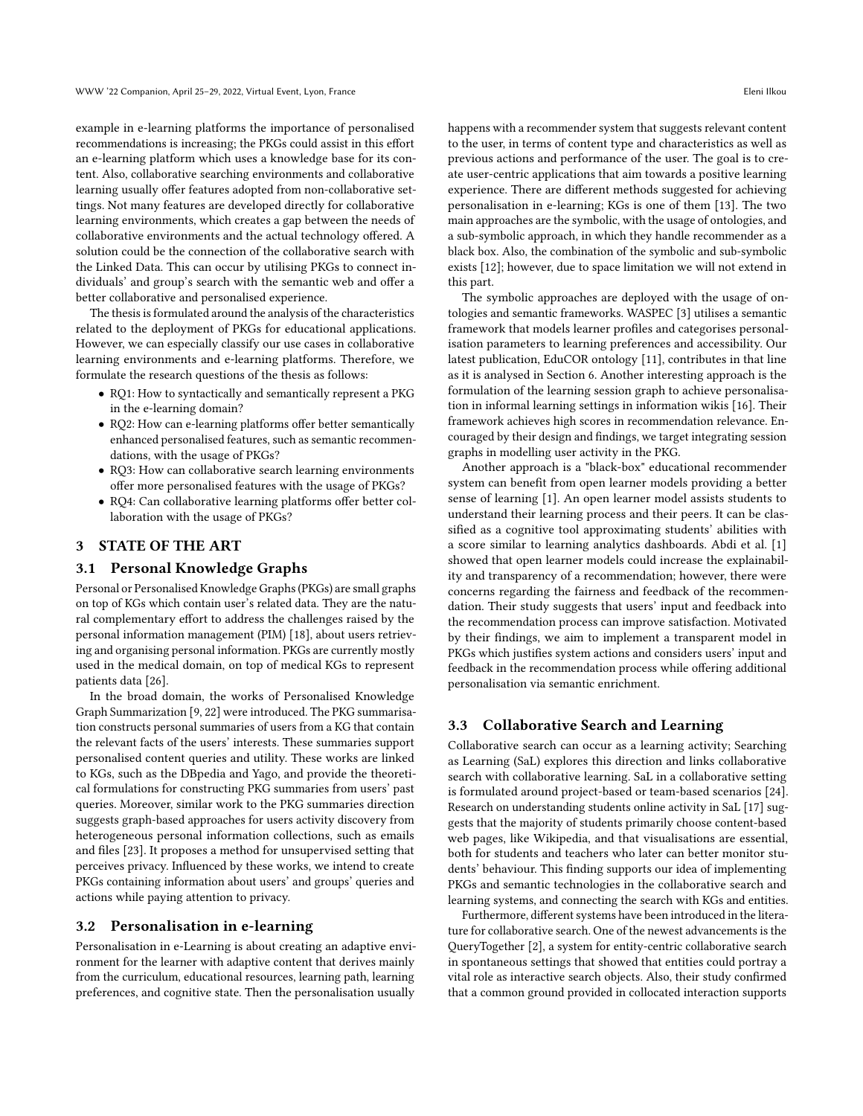example in e-learning platforms the importance of personalised recommendations is increasing; the PKGs could assist in this effort an e-learning platform which uses a knowledge base for its content. Also, collaborative searching environments and collaborative learning usually offer features adopted from non-collaborative settings. Not many features are developed directly for collaborative learning environments, which creates a gap between the needs of collaborative environments and the actual technology offered. A solution could be the connection of the collaborative search with the Linked Data. This can occur by utilising PKGs to connect individuals' and group's search with the semantic web and offer a better collaborative and personalised experience.

The thesis is formulated around the analysis of the characteristics related to the deployment of PKGs for educational applications. However, we can especially classify our use cases in collaborative learning environments and e-learning platforms. Therefore, we formulate the research questions of the thesis as follows:

- RQ1: How to syntactically and semantically represent a PKG in the e-learning domain?
- RQ2: How can e-learning platforms offer better semantically enhanced personalised features, such as semantic recommendations, with the usage of PKGs?
- RQ3: How can collaborative search learning environments offer more personalised features with the usage of PKGs?
- RQ4: Can collaborative learning platforms offer better collaboration with the usage of PKGs?

## 3 STATE OF THE ART

#### 3.1 Personal Knowledge Graphs

Personal or Personalised Knowledge Graphs (PKGs) are small graphs on top of KGs which contain user's related data. They are the natural complementary effort to address the challenges raised by the personal information management (PIM) [\[18\]](#page-4-6), about users retrieving and organising personal information. PKGs are currently mostly used in the medical domain, on top of medical KGs to represent patients data [\[26\]](#page-4-7).

In the broad domain, the works of Personalised Knowledge Graph Summarization [\[9,](#page-4-8) [22\]](#page-4-5) were introduced. The PKG summarisation constructs personal summaries of users from a KG that contain the relevant facts of the users' interests. These summaries support personalised content queries and utility. These works are linked to KGs, such as the DBpedia and Yago, and provide the theoretical formulations for constructing PKG summaries from users' past queries. Moreover, similar work to the PKG summaries direction suggests graph-based approaches for users activity discovery from heterogeneous personal information collections, such as emails and files [\[23\]](#page-4-9). It proposes a method for unsupervised setting that perceives privacy. Influenced by these works, we intend to create PKGs containing information about users' and groups' queries and actions while paying attention to privacy.

#### 3.2 Personalisation in e-learning

Personalisation in e-Learning is about creating an adaptive environment for the learner with adaptive content that derives mainly from the curriculum, educational resources, learning path, learning preferences, and cognitive state. Then the personalisation usually

happens with a recommender system that suggests relevant content to the user, in terms of content type and characteristics as well as previous actions and performance of the user. The goal is to create user-centric applications that aim towards a positive learning experience. There are different methods suggested for achieving personalisation in e-learning; KGs is one of them [\[13\]](#page-4-4). The two main approaches are the symbolic, with the usage of ontologies, and a sub-symbolic approach, in which they handle recommender as a black box. Also, the combination of the symbolic and sub-symbolic exists [\[12\]](#page-4-10); however, due to space limitation we will not extend in this part.

The symbolic approaches are deployed with the usage of ontologies and semantic frameworks. WASPEC [\[3\]](#page-4-11) utilises a semantic framework that models learner profiles and categorises personalisation parameters to learning preferences and accessibility. Our latest publication, EduCOR ontology [\[11\]](#page-4-12), contributes in that line as it is analysed in Section [6.](#page-3-0) Another interesting approach is the formulation of the learning session graph to achieve personalisation in informal learning settings in information wikis [\[16\]](#page-4-13). Their framework achieves high scores in recommendation relevance. Encouraged by their design and findings, we target integrating session graphs in modelling user activity in the PKG.

Another approach is a "black-box" educational recommender system can benefit from open learner models providing a better sense of learning [\[1\]](#page-4-14). An open learner model assists students to understand their learning process and their peers. It can be classified as a cognitive tool approximating students' abilities with a score similar to learning analytics dashboards. Abdi et al. [\[1\]](#page-4-14) showed that open learner models could increase the explainability and transparency of a recommendation; however, there were concerns regarding the fairness and feedback of the recommendation. Their study suggests that users' input and feedback into the recommendation process can improve satisfaction. Motivated by their findings, we aim to implement a transparent model in PKGs which justifies system actions and considers users' input and feedback in the recommendation process while offering additional personalisation via semantic enrichment.

## 3.3 Collaborative Search and Learning

Collaborative search can occur as a learning activity; Searching as Learning (SaL) explores this direction and links collaborative search with collaborative learning. SaL in a collaborative setting is formulated around project-based or team-based scenarios [\[24\]](#page-4-15). Research on understanding students online activity in SaL [\[17\]](#page-4-16) suggests that the majority of students primarily choose content-based web pages, like Wikipedia, and that visualisations are essential, both for students and teachers who later can better monitor students' behaviour. This finding supports our idea of implementing PKGs and semantic technologies in the collaborative search and learning systems, and connecting the search with KGs and entities.

Furthermore, different systems have been introduced in the literature for collaborative search. One of the newest advancements is the QueryTogether [\[2\]](#page-4-17), a system for entity-centric collaborative search in spontaneous settings that showed that entities could portray a vital role as interactive search objects. Also, their study confirmed that a common ground provided in collocated interaction supports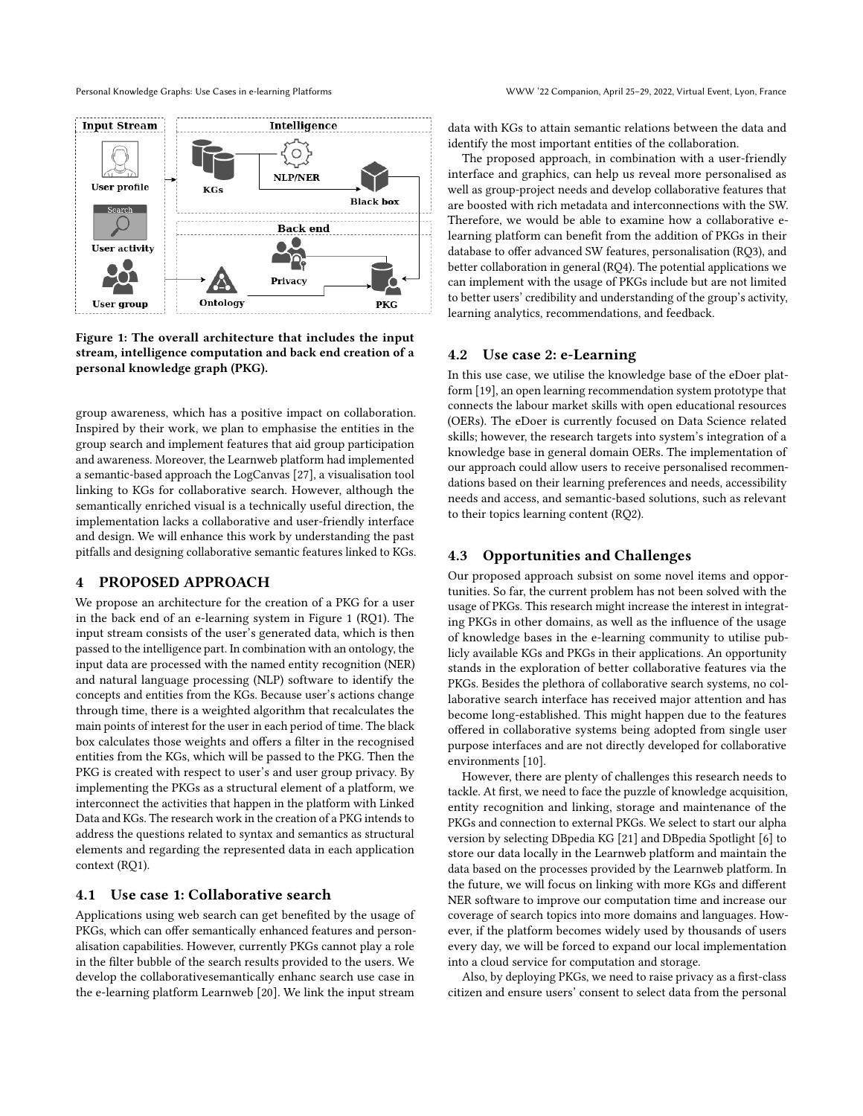<span id="page-2-0"></span>

## Figure 1: The overall architecture that includes the input stream, intelligence computation and back end creation of a personal knowledge graph (PKG).

group awareness, which has a positive impact on collaboration. Inspired by their work, we plan to emphasise the entities in the group search and implement features that aid group participation and awareness. Moreover, the Learnweb platform had implemented a semantic-based approach the LogCanvas [\[27\]](#page-4-18), a visualisation tool linking to KGs for collaborative search. However, although the semantically enriched visual is a technically useful direction, the implementation lacks a collaborative and user-friendly interface and design. We will enhance this work by understanding the past pitfalls and designing collaborative semantic features linked to KGs.

## 4 PROPOSED APPROACH

We propose an architecture for the creation of a PKG for a user in the back end of an e-learning system in Figure [1](#page-2-0) (RQ1). The input stream consists of the user's generated data, which is then passed to the intelligence part. In combination with an ontology, the input data are processed with the named entity recognition (NER) and natural language processing (NLP) software to identify the concepts and entities from the KGs. Because user's actions change through time, there is a weighted algorithm that recalculates the main points of interest for the user in each period of time. The black box calculates those weights and offers a filter in the recognised entities from the KGs, which will be passed to the PKG. Then the PKG is created with respect to user's and user group privacy. By implementing the PKGs as a structural element of a platform, we interconnect the activities that happen in the platform with Linked Data and KGs. The research work in the creation of a PKG intends to address the questions related to syntax and semantics as structural elements and regarding the represented data in each application context (RQ1).

#### 4.1 Use case 1: Collaborative search

Applications using web search can get benefited by the usage of PKGs, which can offer semantically enhanced features and personalisation capabilities. However, currently PKGs cannot play a role in the filter bubble of the search results provided to the users. We develop the collaborativesemantically enhanc search use case in the e-learning platform Learnweb [\[20\]](#page-4-19). We link the input stream

data with KGs to attain semantic relations between the data and identify the most important entities of the collaboration.

The proposed approach, in combination with a user-friendly interface and graphics, can help us reveal more personalised as well as group-project needs and develop collaborative features that are boosted with rich metadata and interconnections with the SW. Therefore, we would be able to examine how a collaborative elearning platform can benefit from the addition of PKGs in their database to offer advanced SW features, personalisation (RQ3), and better collaboration in general (RQ4). The potential applications we can implement with the usage of PKGs include but are not limited to better users' credibility and understanding of the group's activity, learning analytics, recommendations, and feedback.

### 4.2 Use case 2: e-Learning

In this use case, we utilise the knowledge base of the eDoer platform [\[19\]](#page-4-20), an open learning recommendation system prototype that connects the labour market skills with open educational resources (OERs). The eDoer is currently focused on Data Science related skills; however, the research targets into system's integration of a knowledge base in general domain OERs. The implementation of our approach could allow users to receive personalised recommendations based on their learning preferences and needs, accessibility needs and access, and semantic-based solutions, such as relevant to their topics learning content (RQ2).

## 4.3 Opportunities and Challenges

Our proposed approach subsist on some novel items and opportunities. So far, the current problem has not been solved with the usage of PKGs. This research might increase the interest in integrating PKGs in other domains, as well as the influence of the usage of knowledge bases in the e-learning community to utilise publicly available KGs and PKGs in their applications. An opportunity stands in the exploration of better collaborative features via the PKGs. Besides the plethora of collaborative search systems, no collaborative search interface has received major attention and has become long-established. This might happen due to the features offered in collaborative systems being adopted from single user purpose interfaces and are not directly developed for collaborative environments [\[10\]](#page-4-21).

However, there are plenty of challenges this research needs to tackle. At first, we need to face the puzzle of knowledge acquisition, entity recognition and linking, storage and maintenance of the PKGs and connection to external PKGs. We select to start our alpha version by selecting DBpedia KG [\[21\]](#page-4-0) and DBpedia Spotlight [\[6\]](#page-4-22) to store our data locally in the Learnweb platform and maintain the data based on the processes provided by the Learnweb platform. In the future, we will focus on linking with more KGs and different NER software to improve our computation time and increase our coverage of search topics into more domains and languages. However, if the platform becomes widely used by thousands of users every day, we will be forced to expand our local implementation into a cloud service for computation and storage.

Also, by deploying PKGs, we need to raise privacy as a first-class citizen and ensure users' consent to select data from the personal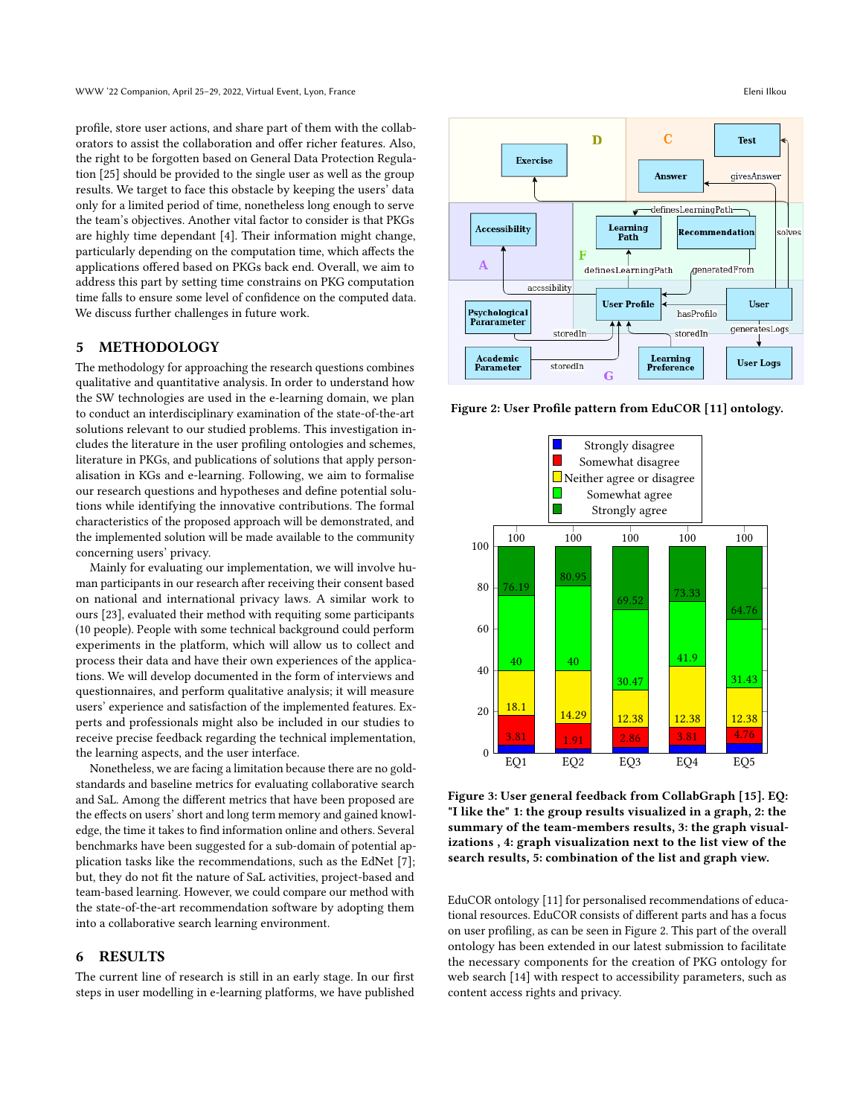profile, store user actions, and share part of them with the collaborators to assist the collaboration and offer richer features. Also, the right to be forgotten based on General Data Protection Regulation [\[25\]](#page-4-23) should be provided to the single user as well as the group results. We target to face this obstacle by keeping the users' data only for a limited period of time, nonetheless long enough to serve the team's objectives. Another vital factor to consider is that PKGs are highly time dependant [\[4\]](#page-4-24). Their information might change, particularly depending on the computation time, which affects the applications offered based on PKGs back end. Overall, we aim to address this part by setting time constrains on PKG computation time falls to ensure some level of confidence on the computed data. We discuss further challenges in future work.

## 5 METHODOLOGY

The methodology for approaching the research questions combines qualitative and quantitative analysis. In order to understand how the SW technologies are used in the e-learning domain, we plan to conduct an interdisciplinary examination of the state-of-the-art solutions relevant to our studied problems. This investigation includes the literature in the user profiling ontologies and schemes, literature in PKGs, and publications of solutions that apply personalisation in KGs and e-learning. Following, we aim to formalise our research questions and hypotheses and define potential solutions while identifying the innovative contributions. The formal characteristics of the proposed approach will be demonstrated, and the implemented solution will be made available to the community concerning users' privacy.

Mainly for evaluating our implementation, we will involve human participants in our research after receiving their consent based on national and international privacy laws. A similar work to ours [\[23\]](#page-4-9), evaluated their method with requiting some participants (10 people). People with some technical background could perform experiments in the platform, which will allow us to collect and process their data and have their own experiences of the applications. We will develop documented in the form of interviews and questionnaires, and perform qualitative analysis; it will measure users' experience and satisfaction of the implemented features. Experts and professionals might also be included in our studies to receive precise feedback regarding the technical implementation, the learning aspects, and the user interface.

Nonetheless, we are facing a limitation because there are no goldstandards and baseline metrics for evaluating collaborative search and SaL. Among the different metrics that have been proposed are the effects on users' short and long term memory and gained knowledge, the time it takes to find information online and others. Several benchmarks have been suggested for a sub-domain of potential application tasks like the recommendations, such as the EdNet [\[7\]](#page-4-25); but, they do not fit the nature of SaL activities, project-based and team-based learning. However, we could compare our method with the state-of-the-art recommendation software by adopting them into a collaborative search learning environment.

# <span id="page-3-0"></span>6 RESULTS

The current line of research is still in an early stage. In our first steps in user modelling in e-learning platforms, we have published

<span id="page-3-1"></span>

Figure 2: User Profile pattern from EduCOR [\[11\]](#page-4-12) ontology.

<span id="page-3-2"></span>

Figure 3: User general feedback from CollabGraph [\[15\]](#page-4-26). EQ: "I like the" 1: the group results visualized in a graph, 2: the summary of the team-members results, 3: the graph visualizations , 4: graph visualization next to the list view of the search results, 5: combination of the list and graph view.

EduCOR ontology [\[11\]](#page-4-12) for personalised recommendations of educational resources. EduCOR consists of different parts and has a focus on user profiling, as can be seen in Figure [2.](#page-3-1) This part of the overall ontology has been extended in our latest submission to facilitate the necessary components for the creation of PKG ontology for web search [\[14\]](#page-4-27) with respect to accessibility parameters, such as content access rights and privacy.